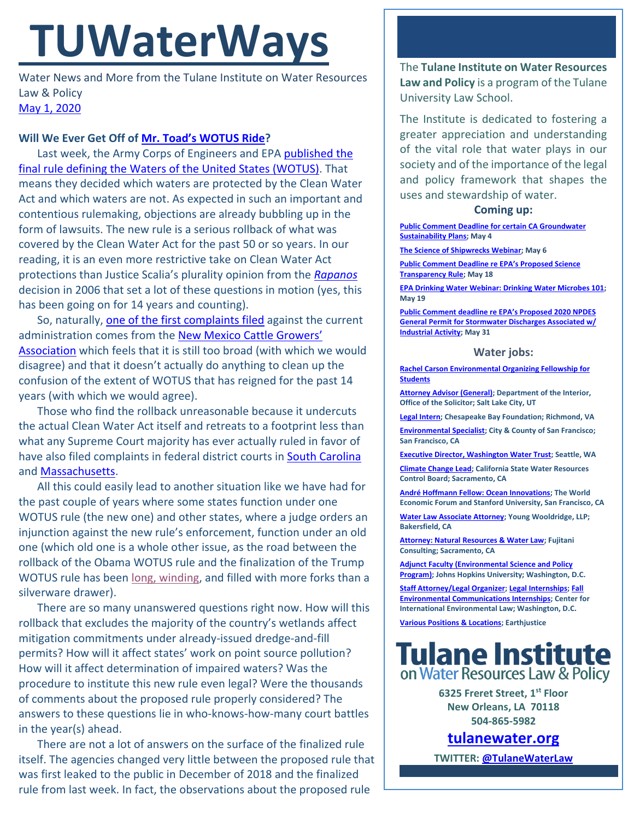# **TUWaterWays**

Water News and More from the Tulane Institute on Water Resources Law & Policy [May 1,](https://thisdayinwaterhistory.wordpress.com/) 2020

### **Will We Ever Get Off of [Mr. Toad's WOTUS Ride](https://youtu.be/lJH6bGsmy9Y?t=53)?**

Last week, the Army Corps of Engineers and EPA published the [final rule defining the Waters of the United States \(WOTUS\).](https://www.federalregister.gov/documents/2020/04/21/2020-02500/the-navigable-waters-protection-rule-definition-of-waters-of-the-united-states) That means they decided which waters are protected by the Clean Water Act and which waters are not. As expected in such an important and contentious rulemaking, objections are already bubbling up in the form of lawsuits. The new rule is a serious rollback of what was covered by the Clean Water Act for the past 50 or so years. In our reading, it is an even more restrictive take on Clean Water Act protections than Justice Scalia's plurality opinion from the *[Rapanos](https://www.oyez.org/cases/2005/04-1034)* decision in 2006 that set a lot of these questions in motion (yes, this has been going on for 14 years and counting).

So, naturally, [one of the first complaints filed](https://www.eenews.net/assets/2020/04/27/document_gw_06.pdf) against the current administration comes from the [New Mexico Cattle Growers'](https://thehill.com/policy/energy-environment/494886-ranchers-sue-trump-administration-arguing-water-rollback-is-federal)  [Association](https://thehill.com/policy/energy-environment/494886-ranchers-sue-trump-administration-arguing-water-rollback-is-federal) which feels that it is still too broad (with which we would disagree) and that it doesn't actually do anything to clean up the confusion of the extent of WOTUS that has reigned for the past 14 years (with which we would agree).

Those who find the rollback unreasonable because it undercuts the actual Clean Water Act itself and retreats to a footprint less than what any Supreme Court majority has ever actually ruled in favor of have also filed complaints in federal district courts in [South Carolina](https://www.southernenvironment.org/uploads/words_docs/2020.04.29_-_KFM_-_Replacement_Rule_Complaint_FINAL.pdf) and [Massachusetts.](https://www.clf.org/wp-content/uploads/2020/04/CLF-v.-EPA-Navigable-Waters-Rule-Complaint-Filed.pdf)

All this could easily lead to another situation like we have had for the past couple of years where some states function under one WOTUS rule (the new one) and other states, where a judge orders an injunction against the new rule's enforcement, function under an old one (which old one is a whole other issue, as the road between the rollback of the Obama WOTUS rule and the finalization of the Trump WOTUS rule has been [long, winding,](https://www.youtube.com/watch?v=fR4HjTH_fTM) and filled with more forks than a silverware drawer).

There are so many unanswered questions right now. How will this rollback that excludes the majority of the country's wetlands affect mitigation commitments under already-issued dredge-and-fill permits? How will it affect states' work on point source pollution? How will it affect determination of impaired waters? Was the procedure to institute this new rule even legal? Were the thousands of comments about the proposed rule properly considered? The answers to these questions lie in who-knows-how-many court battles in the year(s) ahead.

There are not a lot of answers on the surface of the finalized rule itself. The agencies changed very little between the proposed rule that was first leaked to the public in December of 2018 and the finalized rule from last week. In fact, the observations about the proposed rule

The **Tulane Institute on Water Resources Law and Policy** is a program of the Tulane University Law School.

The Institute is dedicated to fostering a greater appreciation and understanding of the vital role that water plays in our society and of the importance of the legal and policy framework that shapes the uses and stewardship of water.

#### **Coming up:**

**[Public Comment Deadline for certain CA Groundwater](https://mavensnotebook.com/2020/02/19/new-gsps-posted-public-comment-opens-for-groundwater-sustainability-plans/)  [Sustainability Plans;](https://mavensnotebook.com/2020/02/19/new-gsps-posted-public-comment-opens-for-groundwater-sustainability-plans/) May 4**

**[The Science of Shipwrecks Webinar;](https://www.whoi.edu/ocean-encounters/) May 6**

**[Public Comment Deadline re EPA's Proposed Science](https://www.epa.gov/newsreleases/epa-announces-extended-comment-period-supplement-science-transparency-proposed-rule)  [Transparency Rule;](https://www.epa.gov/newsreleases/epa-announces-extended-comment-period-supplement-science-transparency-proposed-rule) May 18**

**[EPA Drinking Water Webinar: Drinking Water Microbes 101;](https://www.epa.gov/water-research/small-systems-monthly-webinar-series)  May 19**

**[Public Comment deadline re E](https://www.regulations.gov/docket?D=EPA-HQ-OW-2019-0372)PA's Proposed 2020 NPDES [General Permit for Stormwater Discharges Associated w/](https://www.regulations.gov/docket?D=EPA-HQ-OW-2019-0372)  [Industrial Activity;](https://www.regulations.gov/docket?D=EPA-HQ-OW-2019-0372) May 31**

#### **Water jobs:**

**[Rachel Carson Environmental Organizing Fellowship for](https://rachelcarsoncouncil.org/fellowship/)  [Students](https://rachelcarsoncouncil.org/fellowship/)**

**[Attorney Advisor \(General\);](https://www.usajobs.gov/GetJob/ViewDetails/565348500#how-to-apply) Department of the Interior, Office of the Solicitor; Salt Lake City, UT**

**[Legal Intern;](https://www.indeed.com/viewjob?from=web,iaBackPress&jk=419b11caecfcbdf4&q=%22watershed%22&tk=1e6rbsvls0gb2000&vjs=3) Chesapeake Bay Foundation; Richmond, VA**

**[Environmental Specialist;](https://www.jobapscloud.com/SF/sup/bulpreview.asp?R1=PBT&R2=5640&R3=101068) City & County of San Francisco; San Francisco, CA**

**[Executive Director, Washington Water Trust;](http://www.washingtonwatertrust.org/job-opportunities) Seattle, WA**

**[Climate Change Lead;](https://jobs.ca.gov/CalHrPublic/Jobs/JobPosting.aspx?JobControlId=200954) California State Water Resources Control Board; Sacramento, CA**

**[André Hoffmann Fellow: Ocean Innovations;](https://oceansolutions.stanford.edu/stories-events/new-position-andr-hoffmann-fellow-ocean-innovations-0) The World Economic Forum and Stanford University, San Francisco, CA**

**[Water Law Associate Attorney;](https://www.linkedin.com/jobs/view/1714938195/?eBP=JOB_SEARCH_ORGANIC&recommendedFlavor=JOB_SEEKER_QUALIFIED&refId=47704177-87af-4e9f-9f56-8f5b6c606db2&trk=d_flagship3_search_srp_jobs) Young Wooldridge, LLP; Bakersfield, CA**

**[Attorney: Natural Resources & Water Law;](https://www.linkedin.com/jobs/view/1829166085/?eBP=JOB_SEARCH_ORGANIC&recommendedFlavor=JOB_SEEKER_QUALIFIED&refId=f1b215ee-53e7-485c-bc62-938c4ff7e9f8&trk=d_flagship3_search_srp_jobs) Fujitani Consulting; Sacramento, CA**

**[Adjunct Faculty \(Environmental Science and Policy](https://apply.interfolio.com/57581)  [Program\);](https://apply.interfolio.com/57581) Johns Hopkins University; Washington, D.C.**

**[Staff Attorney/Legal Organizer;](https://www.ciel.org/about-us/environmental-jobs/vacancy-announcement-staff-attorney-and-legal-organizer-climate-energy-program/) [Legal Internships;](https://www.ciel.org/about-us/environmental-jobs/) [Fall](https://www.ciel.org/about-us/environmental-communications-internship/)  [Environmental Communications Internships;](https://www.ciel.org/about-us/environmental-communications-internship/) Center for International Environmental Law; Washington, D.C.**

**[Various Positions & Locations;](https://earthjustice.org/about/jobs) Earthjustice**

## **Tulane Institute** on Water Resources Law & Policy

**6325 Freret Street, 1st Floor New Orleans, LA 70118 504-865-5982**

**[tulanewater.org](file:///C:/Users/waterlaw/Downloads/tulanewater.org)**

**TWITTER[: @TulaneWaterLaw](http://www.twitter.com/TulaneWaterLaw)**